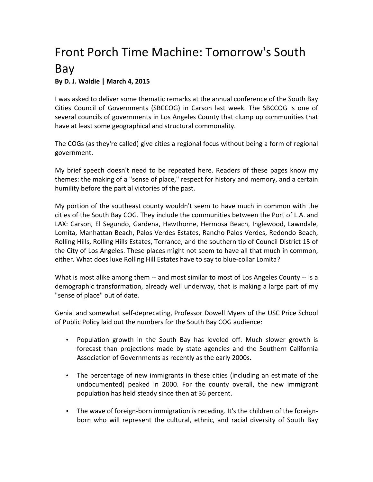## Front Porch Time Machine: Tomorrow's South Bay

## **By D. J. Waldie | March 4, 2015**

I was asked to deliver some thematic remarks at the annual conference of the South Bay Cities Council of Governments (SBCCOG) in Carson last week. The SBCCOG is one of several councils of governments in Los Angeles County that clump up communities that have at least some geographical and structural commonality.

The COGs (as they're called) give cities a regional focus without being a form of regional government.

My brief speech doesn't need to be repeated here. Readers of these pages know my themes: the making of a "sense of place," respect for history and memory, and a certain humility before the partial victories of the past.

My portion of the southeast county wouldn't seem to have much in common with the cities of the South Bay COG. They include the communities between the Port of L.A. and LAX: Carson, El Segundo, Gardena, Hawthorne, Hermosa Beach, Inglewood, Lawndale, Lomita, Manhattan Beach, Palos Verdes Estates, Rancho Palos Verdes, Redondo Beach, Rolling Hills, Rolling Hills Estates, Torrance, and the southern tip of Council District 15 of the City of Los Angeles. These places might not seem to have all that much in common, either. What does luxe Rolling Hill Estates have to say to blue-collar Lomita?

What is most alike among them -- and most similar to most of Los Angeles County -- is a demographic transformation, already well underway, that is making a large part of my "sense of place" out of date.

Genial and somewhat self-deprecating, Professor Dowell Myers of the USC Price School of Public Policy laid out the numbers for the South Bay COG audience:

- Population growth in the South Bay has leveled off. Much slower growth is forecast than projections made by state agencies and the Southern California Association of Governments as recently as the early 2000s.
- The percentage of new immigrants in these cities (including an estimate of the undocumented) peaked in 2000. For the county overall, the new immigrant population has held steady since then at 36 percent.
- The wave of foreign-born immigration is receding. It's the children of the foreignborn who will represent the cultural, ethnic, and racial diversity of South Bay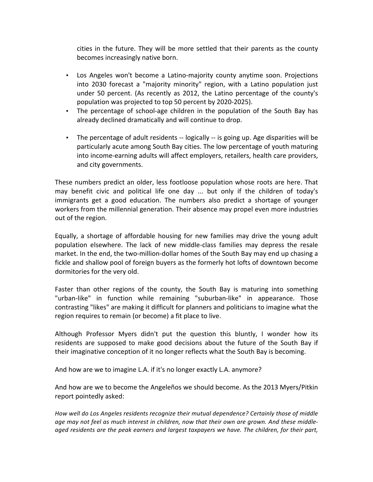cities in the future. They will be more settled that their parents as the county becomes increasingly native born.

- Los Angeles won't become a Latino-majority county anytime soon. Projections into 2030 forecast a "majority minority" region, with a Latino population just under 50 percent. (As recently as 2012, the Latino percentage of the county's population was projected to top 50 percent by 2020-2025).
- The percentage of school-age children in the population of the South Bay has already declined dramatically and will continue to drop.
- The percentage of adult residents -- logically -- is going up. Age disparities will be particularly acute among South Bay cities. The low percentage of youth maturing into income-earning adults will affect employers, retailers, health care providers, and city governments.

These numbers predict an older, less footloose population whose roots are here. That may benefit civic and political life one day ... but only if the children of today's immigrants get a good education. The numbers also predict a shortage of younger workers from the millennial generation. Their absence may propel even more industries out of the region.

Equally, a shortage of affordable housing for new families may drive the young adult population elsewhere. The lack of new middle-class families may depress the resale market. In the end, the two-million-dollar homes of the South Bay may end up chasing a fickle and shallow pool of foreign buyers as the formerly hot lofts of downtown become dormitories for the very old.

Faster than other regions of the county, the South Bay is maturing into something "urban-like" in function while remaining "suburban-like" in appearance. Those contrasting "likes" are making it difficult for planners and politicians to imagine what the region requires to remain (or become) a fit place to live.

Although Professor Myers didn't put the question this bluntly, I wonder how its residents are supposed to make good decisions about the future of the South Bay if their imaginative conception of it no longer reflects what the South Bay is becoming.

And how are we to imagine L.A. if it's no longer exactly L.A. anymore?

And how are we to become the Angeleños we should become. As the 2013 Myers/Pitkin report pointedly asked:

How well do Los Angeles residents recognize their mutual dependence? Certainly those of middle age may not feel as much interest in children, now that their own are grown. And these middleaged residents are the peak earners and largest taxpayers we have. The children, for their part,